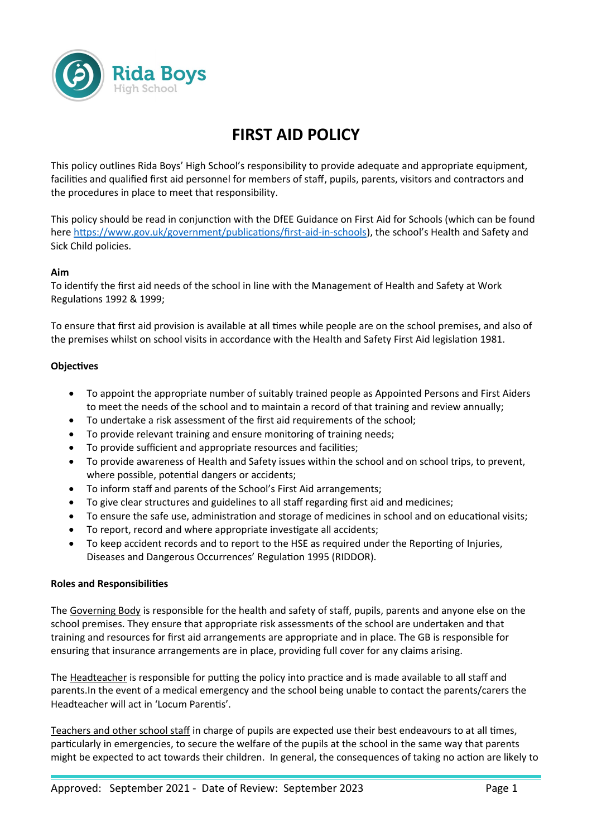

# **FIRST AID POLICY**

This policy outlines Rida Boys' High School's responsibility to provide adequate and appropriate equipment, facilities and qualified first aid personnel for members of staff, pupils, parents, visitors and contractors and the procedures in place to meet that responsibility.

This policy should be read in conjunction with the DfEE Guidance on First Aid for Schools (which can be found here<https://www.gov.uk/government/publications/first-aid-in-schools>), the school's Health and Safety and Sick Child policies.

#### **Aim**

To identify the first aid needs of the school in line with the Management of Health and Safety at Work Regulations 1992 & 1999;

To ensure that first aid provision is available at all times while people are on the school premises, and also of the premises whilst on school visits in accordance with the Health and Safety First Aid legislation 1981.

### **Objectives**

- To appoint the appropriate number of suitably trained people as Appointed Persons and First Aiders to meet the needs of the school and to maintain a record of that training and review annually;
- To undertake a risk assessment of the first aid requirements of the school;
- To provide relevant training and ensure monitoring of training needs;
- To provide sufficient and appropriate resources and facilities;
- To provide awareness of Health and Safety issues within the school and on school trips, to prevent, where possible, potential dangers or accidents;
- To inform staff and parents of the School's First Aid arrangements;
- To give clear structures and guidelines to all staff regarding first aid and medicines;
- To ensure the safe use, administration and storage of medicines in school and on educational visits;
- To report, record and where appropriate investigate all accidents;
- To keep accident records and to report to the HSE as required under the Reporting of Injuries, Diseases and Dangerous Occurrences' Regulation 1995 (RIDDOR).

#### **Roles and Responsibilities**

The Governing Body is responsible for the health and safety of staff, pupils, parents and anyone else on the school premises. They ensure that appropriate risk assessments of the school are undertaken and that training and resources for first aid arrangements are appropriate and in place. The GB is responsible for ensuring that insurance arrangements are in place, providing full cover for any claims arising.

The Headteacher is responsible for putting the policy into practice and is made available to all staff and parents.In the event of a medical emergency and the school being unable to contact the parents/carers the Headteacher will act in 'Locum Parentis'.

Teachers and other school staff in charge of pupils are expected use their best endeavours to at all times, particularly in emergencies, to secure the welfare of the pupils at the school in the same way that parents might be expected to act towards their children. In general, the consequences of taking no action are likely to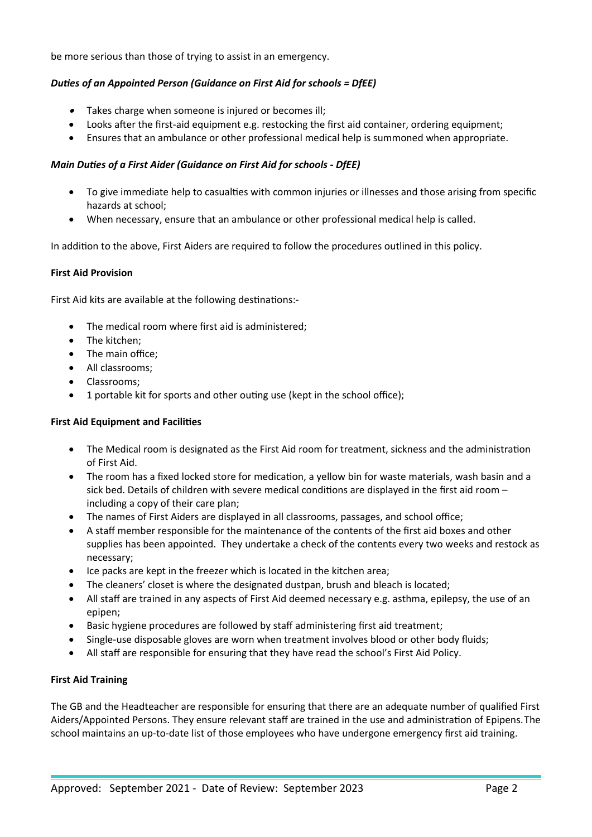be more serious than those of trying to assist in an emergency.

# *Duties of an Appointed Person (Guidance on First Aid for schools = DfEE)*

- Takes charge when someone is injured or becomes ill;
- Looks after the first-aid equipment e.g. restocking the first aid container, ordering equipment;
- Ensures that an ambulance or other professional medical help is summoned when appropriate.

# *Main Duties of a First Aider (Guidance on First Aid for schools - DfEE)*

- To give immediate help to casualties with common injuries or illnesses and those arising from specific hazards at school;
- When necessary, ensure that an ambulance or other professional medical help is called.

In addition to the above, First Aiders are required to follow the procedures outlined in this policy.

### **First Aid Provision**

First Aid kits are available at the following destinations:-

- The medical room where first aid is administered;
- The kitchen;
- The main office;
- All classrooms;
- Classrooms;
- 1 portable kit for sports and other outing use (kept in the school office);

# **First Aid Equipment and Facilities**

- The Medical room is designated as the First Aid room for treatment, sickness and the administration of First Aid.
- The room has a fixed locked store for medication, a yellow bin for waste materials, wash basin and a sick bed. Details of children with severe medical conditions are displayed in the first aid room – including a copy of their care plan;
- The names of First Aiders are displayed in all classrooms, passages, and school office;
- A staff member responsible for the maintenance of the contents of the first aid boxes and other supplies has been appointed. They undertake a check of the contents every two weeks and restock as necessary;
- Ice packs are kept in the freezer which is located in the kitchen area;
- The cleaners' closet is where the designated dustpan, brush and bleach is located;
- All staff are trained in any aspects of First Aid deemed necessary e.g. asthma, epilepsy, the use of an epipen;
- Basic hygiene procedures are followed by staff administering first aid treatment;
- Single-use disposable gloves are worn when treatment involves blood or other body fluids;
- All staff are responsible for ensuring that they have read the school's First Aid Policy.

# **First Aid Training**

The GB and the Headteacher are responsible for ensuring that there are an adequate number of qualified First Aiders/Appointed Persons. They ensure relevant staff are trained in the use and administration of Epipens.The school maintains an up-to-date list of those employees who have undergone emergency first aid training.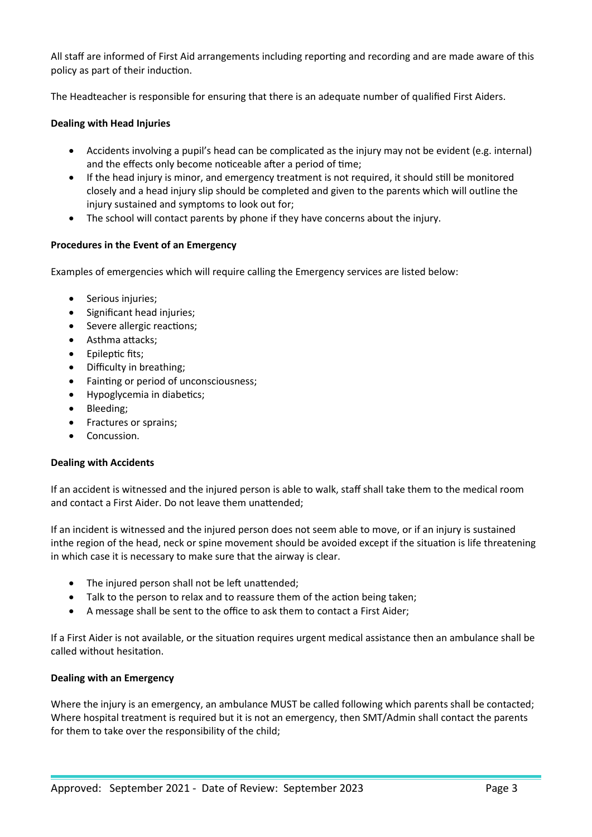All staff are informed of First Aid arrangements including reporting and recording and are made aware of this policy as part of their induction.

The Headteacher is responsible for ensuring that there is an adequate number of qualified First Aiders.

#### **Dealing with Head Injuries**

- Accidents involving a pupil's head can be complicated as the injury may not be evident (e.g. internal) and the effects only become noticeable after a period of time;
- If the head injury is minor, and emergency treatment is not required, it should still be monitored closely and a head injury slip should be completed and given to the parents which will outline the injury sustained and symptoms to look out for;
- The school will contact parents by phone if they have concerns about the injury.

#### **Procedures in the Event of an Emergency**

Examples of emergencies which will require calling the Emergency services are listed below:

- Serious injuries;
- Significant head injuries;
- Severe allergic reactions:
- Asthma attacks;
- Epileptic fits;
- Difficulty in breathing;
- Fainting or period of unconsciousness;
- Hypoglycemia in diabetics;
- Bleeding;
- Fractures or sprains;
- Concussion.

#### **Dealing with Accidents**

If an accident is witnessed and the injured person is able to walk, staff shall take them to the medical room and contact a First Aider. Do not leave them unattended;

If an incident is witnessed and the injured person does not seem able to move, or if an injury is sustained inthe region of the head, neck or spine movement should be avoided except if the situation is life threatening in which case it is necessary to make sure that the airway is clear.

- The injured person shall not be left unattended;
- Talk to the person to relax and to reassure them of the action being taken;
- A message shall be sent to the office to ask them to contact a First Aider;

If a First Aider is not available, or the situation requires urgent medical assistance then an ambulance shall be called without hesitation.

#### **Dealing with an Emergency**

Where the injury is an emergency, an ambulance MUST be called following which parents shall be contacted; Where hospital treatment is required but it is not an emergency, then SMT/Admin shall contact the parents for them to take over the responsibility of the child;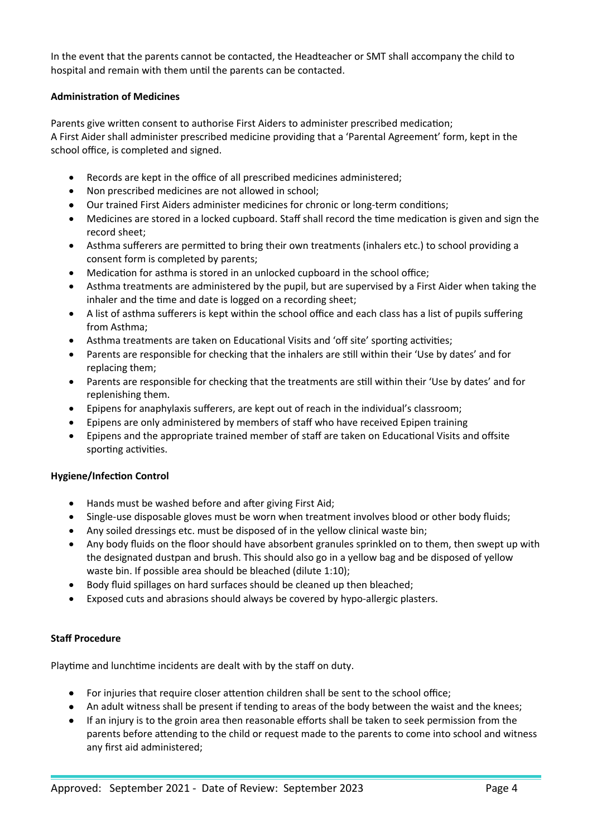In the event that the parents cannot be contacted, the Headteacher or SMT shall accompany the child to hospital and remain with them until the parents can be contacted.

### **Administration of Medicines**

Parents give written consent to authorise First Aiders to administer prescribed medication; A First Aider shall administer prescribed medicine providing that a 'Parental Agreement' form, kept in the school office, is completed and signed.

- Records are kept in the office of all prescribed medicines administered;
- Non prescribed medicines are not allowed in school;
- Our trained First Aiders administer medicines for chronic or long-term conditions;
- Medicines are stored in a locked cupboard. Staff shall record the time medication is given and sign the record sheet;
- Asthma sufferers are permitted to bring their own treatments (inhalers etc.) to school providing a consent form is completed by parents;
- Medication for asthma is stored in an unlocked cupboard in the school office;
- Asthma treatments are administered by the pupil, but are supervised by a First Aider when taking the inhaler and the time and date is logged on a recording sheet;
- A list of asthma sufferers is kept within the school office and each class has a list of pupils suffering from Asthma;
- Asthma treatments are taken on Educational Visits and 'off site' sporting activities;
- Parents are responsible for checking that the inhalers are still within their 'Use by dates' and for replacing them;
- Parents are responsible for checking that the treatments are still within their 'Use by dates' and for replenishing them.
- Epipens for anaphylaxis sufferers, are kept out of reach in the individual's classroom;
- Epipens are only administered by members of staff who have received Epipen training
- Epipens and the appropriate trained member of staff are taken on Educational Visits and offsite sporting activities.

#### **Hygiene/Infection Control**

- Hands must be washed before and after giving First Aid;
- Single-use disposable gloves must be worn when treatment involves blood or other body fluids;
- Any soiled dressings etc. must be disposed of in the yellow clinical waste bin;
- Any body fluids on the floor should have absorbent granules sprinkled on to them, then swept up with the designated dustpan and brush. This should also go in a yellow bag and be disposed of yellow waste bin. If possible area should be bleached (dilute 1:10);
- Body fluid spillages on hard surfaces should be cleaned up then bleached;
- Exposed cuts and abrasions should always be covered by hypo-allergic plasters.

# **Staff Procedure**

Playtime and lunchtime incidents are dealt with by the staff on duty.

- For injuries that require closer attention children shall be sent to the school office;
- An adult witness shall be present if tending to areas of the body between the waist and the knees;
- If an injury is to the groin area then reasonable efforts shall be taken to seek permission from the parents before attending to the child or request made to the parents to come into school and witness any first aid administered;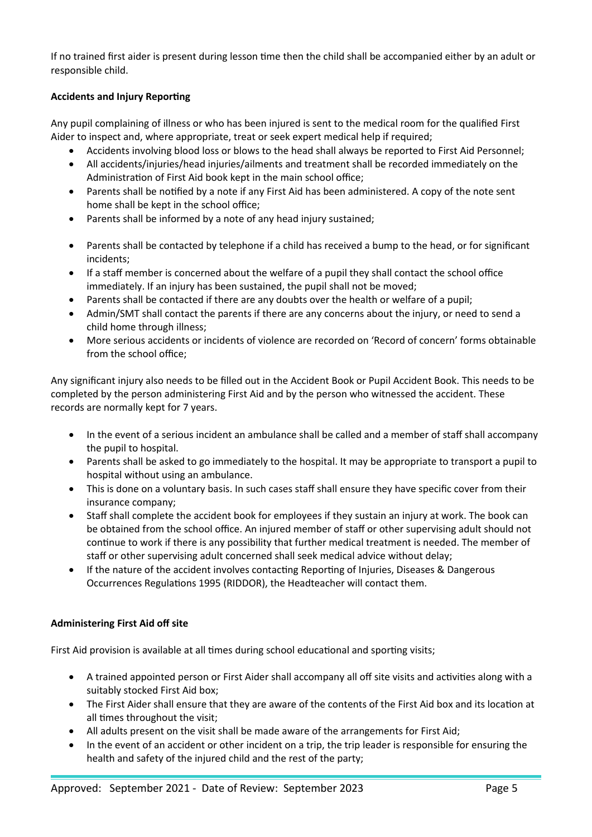If no trained first aider is present during lesson time then the child shall be accompanied either by an adult or responsible child.

# **Accidents and Injury Reporting**

Any pupil complaining of illness or who has been injured is sent to the medical room for the qualified First Aider to inspect and, where appropriate, treat or seek expert medical help if required;

- Accidents involving blood loss or blows to the head shall always be reported to First Aid Personnel;
- All accidents/injuries/head injuries/ailments and treatment shall be recorded immediately on the Administration of First Aid book kept in the main school office;
- Parents shall be notified by a note if any First Aid has been administered. A copy of the note sent home shall be kept in the school office;
- Parents shall be informed by a note of any head injury sustained;
- Parents shall be contacted by telephone if a child has received a bump to the head, or for significant incidents;
- If a staff member is concerned about the welfare of a pupil they shall contact the school office immediately. If an injury has been sustained, the pupil shall not be moved;
- Parents shall be contacted if there are any doubts over the health or welfare of a pupil;
- Admin/SMT shall contact the parents if there are any concerns about the injury, or need to send a child home through illness;
- More serious accidents or incidents of violence are recorded on 'Record of concern' forms obtainable from the school office;

Any significant injury also needs to be filled out in the Accident Book or Pupil Accident Book. This needs to be completed by the person administering First Aid and by the person who witnessed the accident. These records are normally kept for 7 years.

- In the event of a serious incident an ambulance shall be called and a member of staff shall accompany the pupil to hospital.
- Parents shall be asked to go immediately to the hospital. It may be appropriate to transport a pupil to hospital without using an ambulance.
- This is done on a voluntary basis. In such cases staff shall ensure they have specific cover from their insurance company;
- Staff shall complete the accident book for employees if they sustain an injury at work. The book can be obtained from the school office. An injured member of staff or other supervising adult should not continue to work if there is any possibility that further medical treatment is needed. The member of staff or other supervising adult concerned shall seek medical advice without delay;
- If the nature of the accident involves contacting Reporting of Injuries, Diseases & Dangerous Occurrences Regulations 1995 (RIDDOR), the Headteacher will contact them.

# **Administering First Aid off site**

First Aid provision is available at all times during school educational and sporting visits;

- A trained appointed person or First Aider shall accompany all off site visits and activities along with a suitably stocked First Aid box;
- The First Aider shall ensure that they are aware of the contents of the First Aid box and its location at all times throughout the visit;
- All adults present on the visit shall be made aware of the arrangements for First Aid;
- In the event of an accident or other incident on a trip, the trip leader is responsible for ensuring the health and safety of the injured child and the rest of the party;